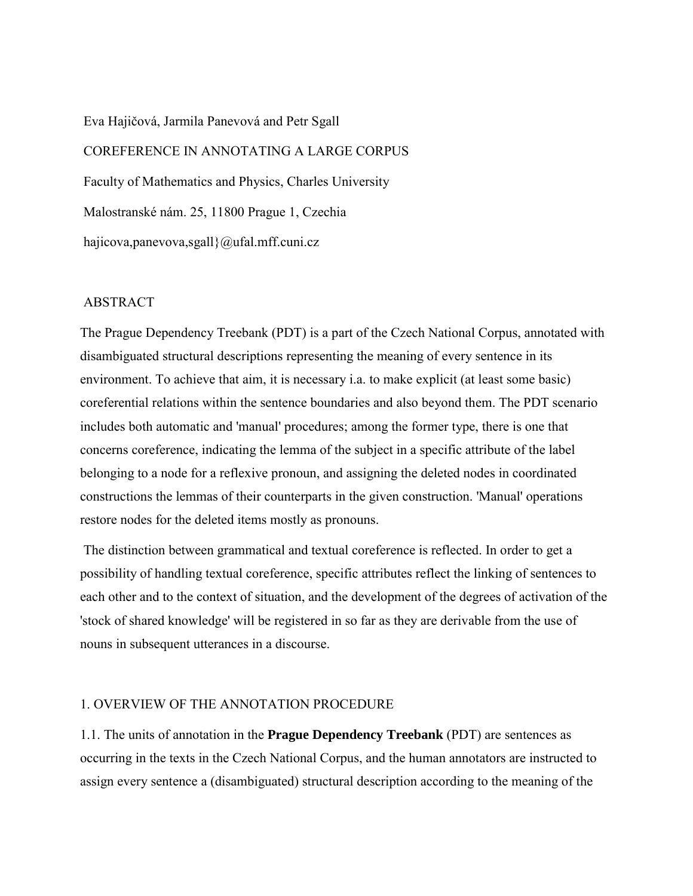Eva Hajičová, Jarmila Panevová and Petr Sgall

 COREFERENCE IN ANNOTATING A LARGE CORPUS Faculty of Mathematics and Physics, Charles University Malostranské nám. 25, 11800 Prague 1, Czechia hajicova,panevova,sgall}@ufal.mff.cuni.cz

## ABSTRACT

The Prague Dependency Treebank (PDT) is a part of the Czech National Corpus, annotated with disambiguated structural descriptions representing the meaning of every sentence in its environment. To achieve that aim, it is necessary i.a. to make explicit (at least some basic) coreferential relations within the sentence boundaries and also beyond them. The PDT scenario includes both automatic and 'manual' procedures; among the former type, there is one that concerns coreference, indicating the lemma of the subject in a specific attribute of the label belonging to a node for a reflexive pronoun, and assigning the deleted nodes in coordinated constructions the lemmas of their counterparts in the given construction. 'Manual' operations restore nodes for the deleted items mostly as pronouns.

 The distinction between grammatical and textual coreference is reflected. In order to get a possibility of handling textual coreference, specific attributes reflect the linking of sentences to each other and to the context of situation, and the development of the degrees of activation of the 'stock of shared knowledge' will be registered in so far as they are derivable from the use of nouns in subsequent utterances in a discourse.

## 1. OVERVIEW OF THE ANNOTATION PROCEDURE

1.1. The units of annotation in the **Prague Dependency Treebank** (PDT) are sentences as occurring in the texts in the Czech National Corpus, and the human annotators are instructed to assign every sentence a (disambiguated) structural description according to the meaning of the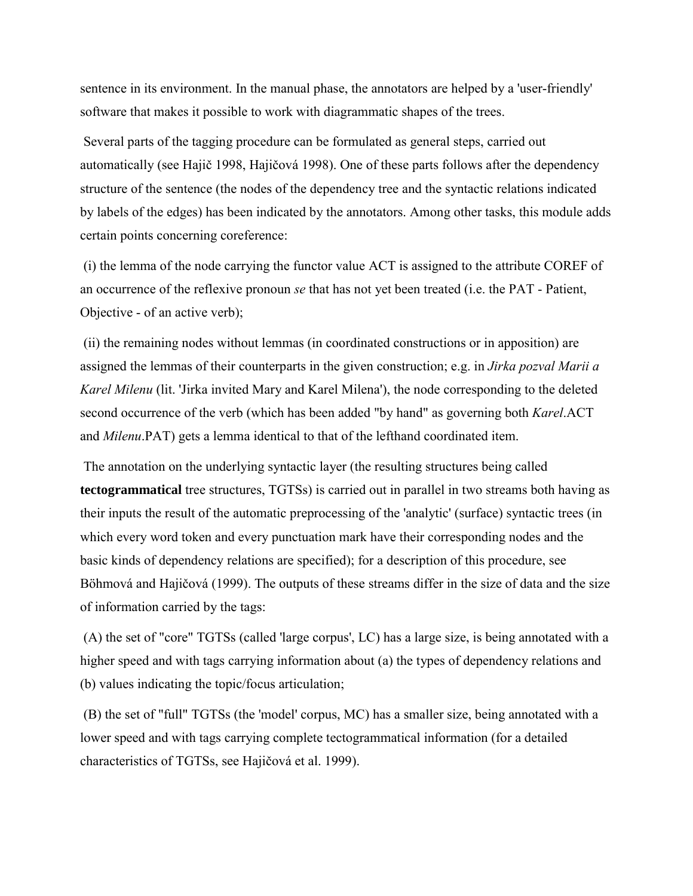sentence in its environment. In the manual phase, the annotators are helped by a 'user-friendly' software that makes it possible to work with diagrammatic shapes of the trees.

 Several parts of the tagging procedure can be formulated as general steps, carried out automatically (see Hajič 1998, Hajičová 1998). One of these parts follows after the dependency structure of the sentence (the nodes of the dependency tree and the syntactic relations indicated by labels of the edges) has been indicated by the annotators. Among other tasks, this module adds certain points concerning coreference:

 (i) the lemma of the node carrying the functor value ACT is assigned to the attribute COREF of an occurrence of the reflexive pronoun *se* that has not yet been treated (i.e. the PAT - Patient, Objective - of an active verb);

 (ii) the remaining nodes without lemmas (in coordinated constructions or in apposition) are assigned the lemmas of their counterparts in the given construction; e.g. in *Jirka pozval Marii a Karel Milenu* (lit. 'Jirka invited Mary and Karel Milena'), the node corresponding to the deleted second occurrence of the verb (which has been added "by hand" as governing both *Karel*.ACT and *Milenu*.PAT) gets a lemma identical to that of the lefthand coordinated item.

 The annotation on the underlying syntactic layer (the resulting structures being called **tectogrammatical** tree structures, TGTSs) is carried out in parallel in two streams both having as their inputs the result of the automatic preprocessing of the 'analytic' (surface) syntactic trees (in which every word token and every punctuation mark have their corresponding nodes and the basic kinds of dependency relations are specified); for a description of this procedure, see Böhmová and Hajičová (1999). The outputs of these streams differ in the size of data and the size of information carried by the tags:

 (A) the set of "core" TGTSs (called 'large corpus', LC) has a large size, is being annotated with a higher speed and with tags carrying information about (a) the types of dependency relations and (b) values indicating the topic/focus articulation;

 (B) the set of "full" TGTSs (the 'model' corpus, MC) has a smaller size, being annotated with a lower speed and with tags carrying complete tectogrammatical information (for a detailed characteristics of TGTSs, see Hajičová et al. 1999).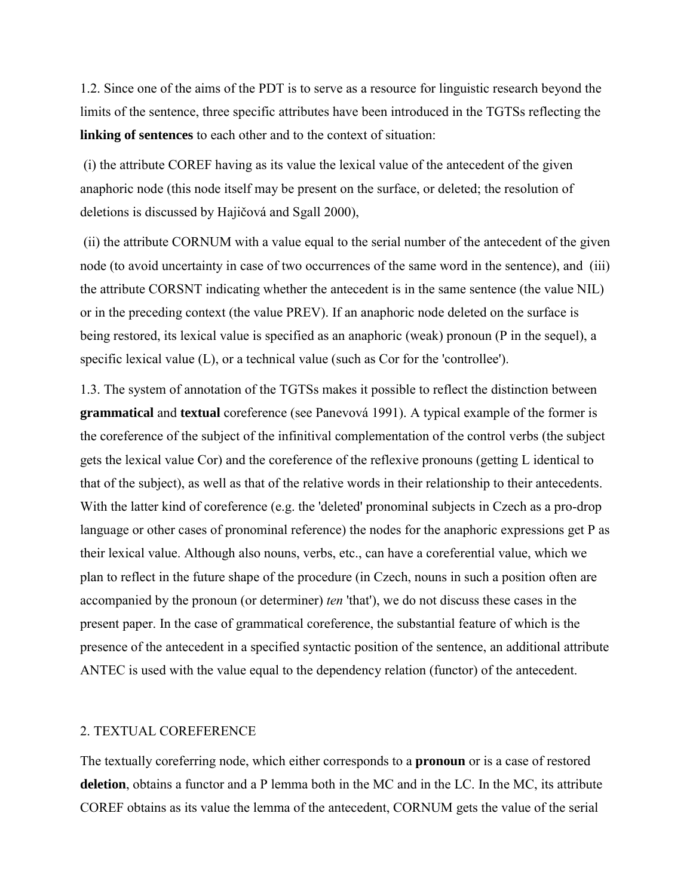1.2. Since one of the aims of the PDT is to serve as a resource for linguistic research beyond the limits of the sentence, three specific attributes have been introduced in the TGTSs reflecting the **linking of sentences** to each other and to the context of situation:

 (i) the attribute COREF having as its value the lexical value of the antecedent of the given anaphoric node (this node itself may be present on the surface, or deleted; the resolution of deletions is discussed by Hajičová and Sgall 2000),

 (ii) the attribute CORNUM with a value equal to the serial number of the antecedent of the given node (to avoid uncertainty in case of two occurrences of the same word in the sentence), and (iii) the attribute CORSNT indicating whether the antecedent is in the same sentence (the value NIL) or in the preceding context (the value PREV). If an anaphoric node deleted on the surface is being restored, its lexical value is specified as an anaphoric (weak) pronoun (P in the sequel), a specific lexical value (L), or a technical value (such as Cor for the 'controllee').

1.3. The system of annotation of the TGTSs makes it possible to reflect the distinction between **grammatical** and **textual** coreference (see Panevová 1991). A typical example of the former is the coreference of the subject of the infinitival complementation of the control verbs (the subject gets the lexical value Cor) and the coreference of the reflexive pronouns (getting L identical to that of the subject), as well as that of the relative words in their relationship to their antecedents. With the latter kind of coreference (e.g. the 'deleted' pronominal subjects in Czech as a pro-drop language or other cases of pronominal reference) the nodes for the anaphoric expressions get P as their lexical value. Although also nouns, verbs, etc., can have a coreferential value, which we plan to reflect in the future shape of the procedure (in Czech, nouns in such a position often are accompanied by the pronoun (or determiner) *ten* 'that'), we do not discuss these cases in the present paper. In the case of grammatical coreference, the substantial feature of which is the presence of the antecedent in a specified syntactic position of the sentence, an additional attribute ANTEC is used with the value equal to the dependency relation (functor) of the antecedent.

#### 2. TEXTUAL COREFERENCE

The textually coreferring node, which either corresponds to a **pronoun** or is a case of restored **deletion**, obtains a functor and a P lemma both in the MC and in the LC. In the MC, its attribute COREF obtains as its value the lemma of the antecedent, CORNUM gets the value of the serial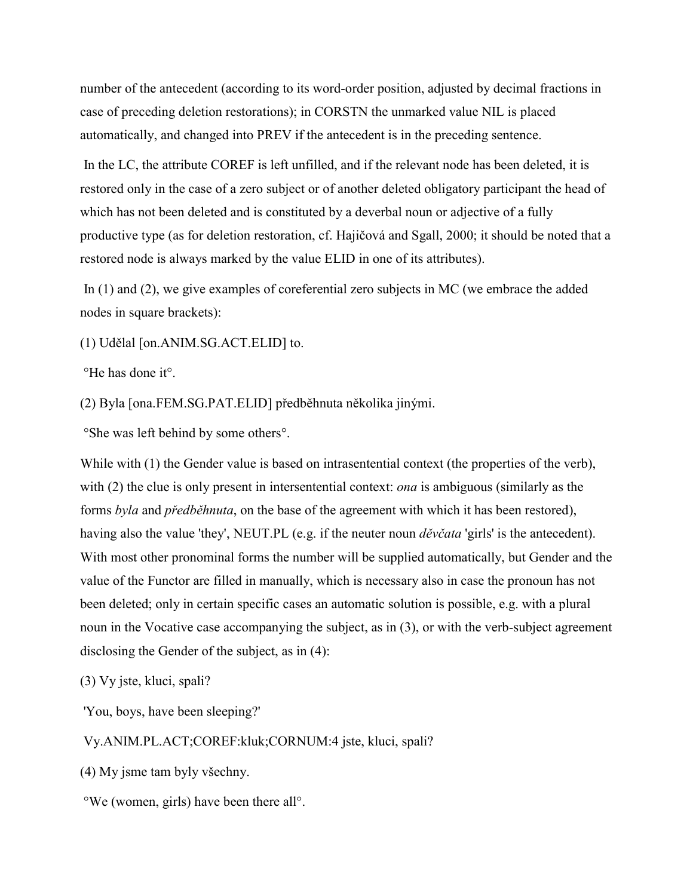number of the antecedent (according to its word-order position, adjusted by decimal fractions in case of preceding deletion restorations); in CORSTN the unmarked value NIL is placed automatically, and changed into PREV if the antecedent is in the preceding sentence.

 In the LC, the attribute COREF is left unfilled, and if the relevant node has been deleted, it is restored only in the case of a zero subject or of another deleted obligatory participant the head of which has not been deleted and is constituted by a deverbal noun or adjective of a fully productive type (as for deletion restoration, cf. Hajičová and Sgall, 2000; it should be noted that a restored node is always marked by the value ELID in one of its attributes).

 In (1) and (2), we give examples of coreferential zero subjects in MC (we embrace the added nodes in square brackets):

(1) Udělal [on.ANIM.SG.ACT.ELID] to.

°He has done it°.

(2) Byla [ona.FEM.SG.PAT.ELID] předběhnuta několika jinými.

°She was left behind by some others°.

While with (1) the Gender value is based on intrasentential context (the properties of the verb), with (2) the clue is only present in intersentential context: *ona* is ambiguous (similarly as the forms *byla* and *předběhnuta*, on the base of the agreement with which it has been restored), having also the value 'they', NEUT.PL (e.g. if the neuter noun *děvčata* 'girls' is the antecedent). With most other pronominal forms the number will be supplied automatically, but Gender and the value of the Functor are filled in manually, which is necessary also in case the pronoun has not been deleted; only in certain specific cases an automatic solution is possible, e.g. with a plural noun in the Vocative case accompanying the subject, as in (3), or with the verb-subject agreement disclosing the Gender of the subject, as in (4):

(3) Vy jste, kluci, spali?

'You, boys, have been sleeping?'

Vy.ANIM.PL.ACT;COREF:kluk;CORNUM:4 jste, kluci, spali?

(4) My jsme tam byly vöechny.

°We (women, girls) have been there all°.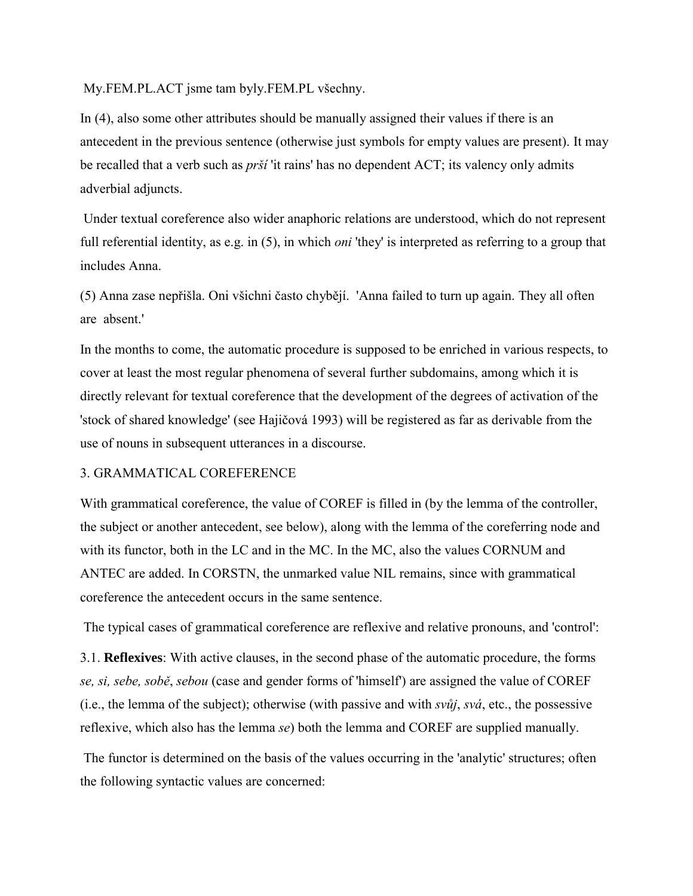My.FEM.PL.ACT jsme tam byly.FEM.PL vöechny.

In (4), also some other attributes should be manually assigned their values if there is an antecedent in the previous sentence (otherwise just symbols for empty values are present). It may be recalled that a verb such as *pröÌ* 'it rains' has no dependent ACT; its valency only admits adverbial adjuncts.

 Under textual coreference also wider anaphoric relations are understood, which do not represent full referential identity, as e.g. in (5), in which *oni* 'they' is interpreted as referring to a group that includes Anna.

(5) Anna zase nepřiöla. Oni vöichni často chybějÌ. 'Anna failed to turn up again. They all often are absent.'

In the months to come, the automatic procedure is supposed to be enriched in various respects, to cover at least the most regular phenomena of several further subdomains, among which it is directly relevant for textual coreference that the development of the degrees of activation of the 'stock of shared knowledge' (see Hajičová 1993) will be registered as far as derivable from the use of nouns in subsequent utterances in a discourse.

## 3. GRAMMATICAL COREFERENCE

With grammatical coreference, the value of COREF is filled in (by the lemma of the controller, the subject or another antecedent, see below), along with the lemma of the coreferring node and with its functor, both in the LC and in the MC. In the MC, also the values CORNUM and ANTEC are added. In CORSTN, the unmarked value NIL remains, since with grammatical coreference the antecedent occurs in the same sentence.

The typical cases of grammatical coreference are reflexive and relative pronouns, and 'control':

3.1. **Reflexives**: With active clauses, in the second phase of the automatic procedure, the forms *se, si, sebe, sobě*, *sebou* (case and gender forms of 'himself') are assigned the value of COREF (i.e., the lemma of the subject); otherwise (with passive and with *svůj*, *sv·*, etc., the possessive reflexive, which also has the lemma *se*) both the lemma and COREF are supplied manually.

 The functor is determined on the basis of the values occurring in the 'analytic' structures; often the following syntactic values are concerned: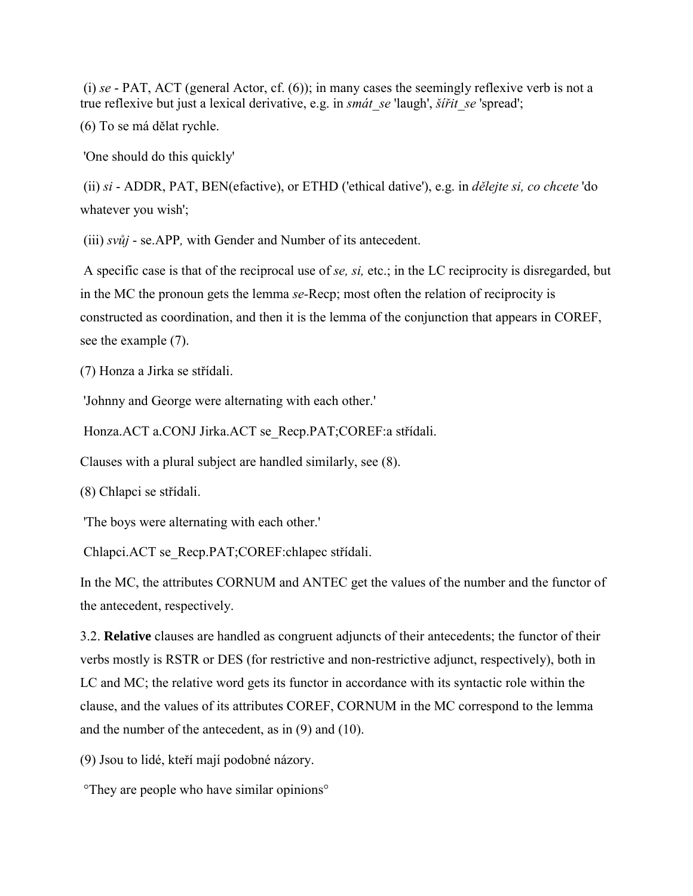(i) *se* - PAT, ACT (general Actor, cf. (6)); in many cases the seemingly reflexive verb is not a true reflexive but just a lexical derivative, e.g. in *smát se* 'laugh', *šiřit se* 'spread';

(6) To se má dělat rychle.

'One should do this quickly'

 (ii) *si* - ADDR, PAT, BEN(efactive), or ETHD ('ethical dative'), e.g. in *dělejte si, co chcete* 'do whatever you wish';

(iii) *svůj* - se.APP*,* with Gender and Number of its antecedent.

 A specific case is that of the reciprocal use of *se, si,* etc.; in the LC reciprocity is disregarded, but in the MC the pronoun gets the lemma *se-*Recp; most often the relation of reciprocity is constructed as coordination, and then it is the lemma of the conjunction that appears in COREF, see the example (7).

(7) Honza a Jirka se střídali.

'Johnny and George were alternating with each other.'

Honza.ACT a.CONJ Jirka.ACT se\_Recp.PAT;COREF:a střídali.

Clauses with a plural subject are handled similarly, see (8).

(8) Chlapci se střÌdali.

'The boys were alternating with each other.'

Chlapci.ACT se Recp.PAT;COREF:chlapec střídali.

In the MC, the attributes CORNUM and ANTEC get the values of the number and the functor of the antecedent, respectively.

3.2. **Relative** clauses are handled as congruent adjuncts of their antecedents; the functor of their verbs mostly is RSTR or DES (for restrictive and non-restrictive adjunct, respectively), both in LC and MC; the relative word gets its functor in accordance with its syntactic role within the clause, and the values of its attributes COREF, CORNUM in the MC correspond to the lemma and the number of the antecedent, as in (9) and (10).

(9) Jsou to lidé, kteří mají podobné názory.

°They are people who have similar opinions°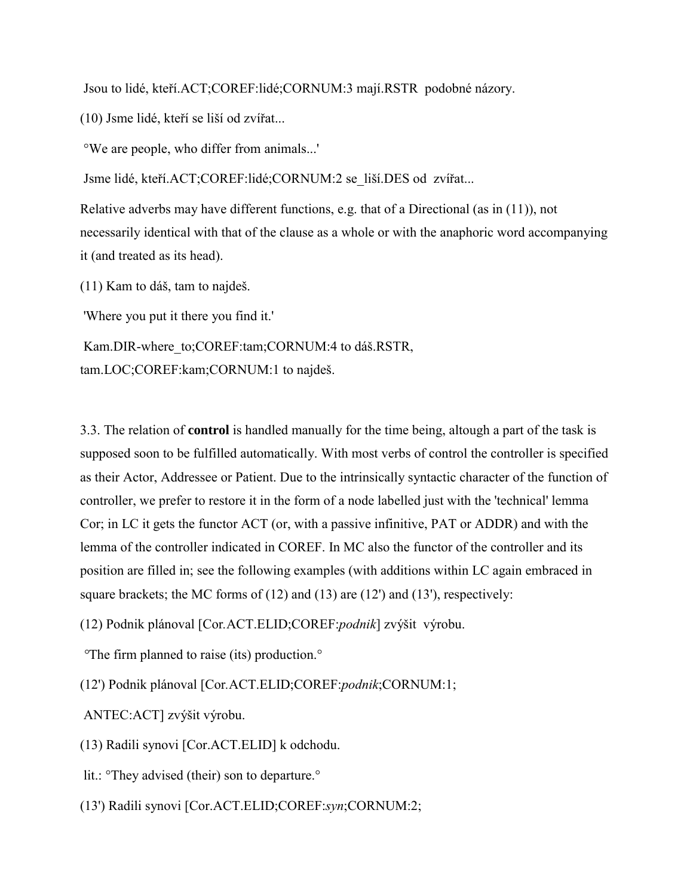Jsou to lidé, kteří.ACT;COREF:lidé;CORNUM:3 mají.RSTR podobné názory.

(10) Jsme lidÈ, kteřÌ se liöÌ od zvÌřat...

°We are people, who differ from animals...'

Jsme lidé, kteří.ACT;COREF:lidé;CORNUM:2 se\_liší.DES od zvířat...

Relative adverbs may have different functions, e.g. that of a Directional (as in (11)), not necessarily identical with that of the clause as a whole or with the anaphoric word accompanying it (and treated as its head).

 $(11)$  Kam to dáš, tam to najdeš.

'Where you put it there you find it.'

Kam.DIR-where to;COREF:tam;CORNUM:4 to dáš.RSTR, tam.LOC;COREF:kam;CORNUM:1 to najdeö.

3.3. The relation of **control** is handled manually for the time being, altough a part of the task is supposed soon to be fulfilled automatically. With most verbs of control the controller is specified as their Actor, Addressee or Patient. Due to the intrinsically syntactic character of the function of controller, we prefer to restore it in the form of a node labelled just with the 'technical' lemma Cor; in LC it gets the functor ACT (or, with a passive infinitive, PAT or ADDR) and with the lemma of the controller indicated in COREF. In MC also the functor of the controller and its position are filled in; see the following examples (with additions within LC again embraced in square brackets; the MC forms of  $(12)$  and  $(13)$  are  $(12')$  and  $(13')$ , respectively:

(12) Podnik plánoval [Cor.ACT.ELID;COREF:*podnik*] zvýšit výrobu.

 *°*The firm planned to raise (its) production.°

(12') Podnik plánoval [Cor.ACT.ELID;COREF:*podnik*;CORNUM:1;

ANTEC:ACT] zvýšit výrobu.

(13) Radili synovi [Cor.ACT.ELID] k odchodu.

lit.: <sup>o</sup>They advised (their) son to departure.<sup>o</sup>

(13') Radili synovi [Cor.ACT.ELID;COREF:*syn*;CORNUM:2;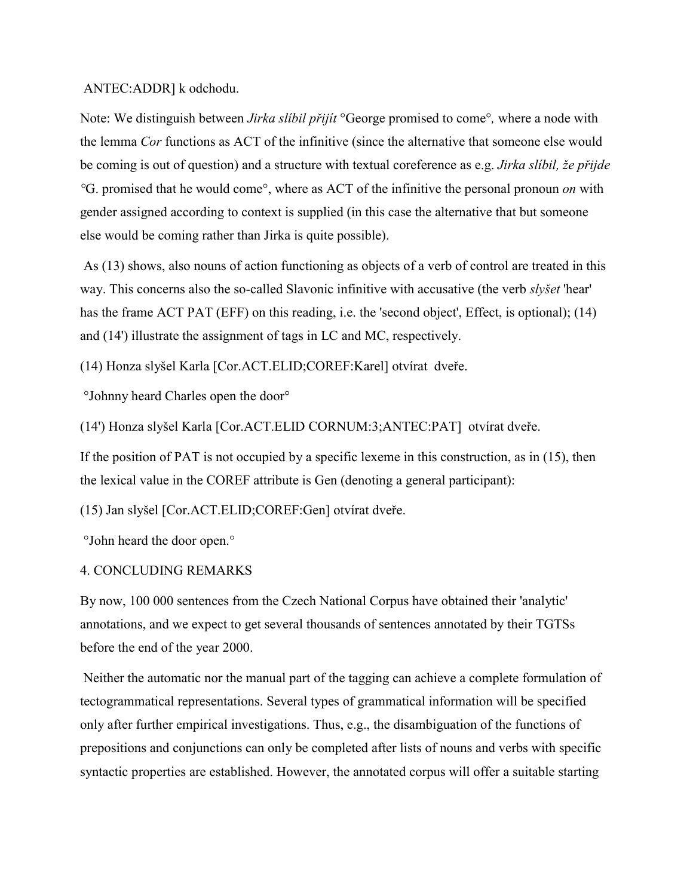#### ANTEC:ADDR] k odchodu.

Note: We distinguish between *Jirka slÌbil přijÌt* °George promised to come°*,* where a node with the lemma *Cor* functions as ACT of the infinitive (since the alternative that someone else would be coming is out of question) and a structure with textual coreference as e.g. *Jirka slÌbil, ûe přijde °*G. promised that he would come°, where as ACT of the infinitive the personal pronoun *on* with gender assigned according to context is supplied (in this case the alternative that but someone else would be coming rather than Jirka is quite possible).

 As (13) shows, also nouns of action functioning as objects of a verb of control are treated in this way. This concerns also the so-called Slavonic infinitive with accusative (the verb *slyöet* 'hear' has the frame ACT PAT (EFF) on this reading, i.e. the 'second object', Effect, is optional); (14) and (14') illustrate the assignment of tags in LC and MC, respectively.

(14) Honza slyšel Karla [Cor.ACT.ELID;COREF:Karel] otvírat dveře.

°Johnny heard Charles open the door°

(14') Honza slyšel Karla [Cor.ACT.ELID CORNUM:3;ANTEC:PAT] otvírat dveře.

If the position of PAT is not occupied by a specific lexeme in this construction, as in (15), then the lexical value in the COREF attribute is Gen (denoting a general participant):

(15) Jan slyšel [Cor.ACT.ELID;COREF:Gen] otvírat dveře.

°John heard the door open.°

## 4. CONCLUDING REMARKS

By now, 100 000 sentences from the Czech National Corpus have obtained their 'analytic' annotations, and we expect to get several thousands of sentences annotated by their TGTSs before the end of the year 2000.

 Neither the automatic nor the manual part of the tagging can achieve a complete formulation of tectogrammatical representations. Several types of grammatical information will be specified only after further empirical investigations. Thus, e.g., the disambiguation of the functions of prepositions and conjunctions can only be completed after lists of nouns and verbs with specific syntactic properties are established. However, the annotated corpus will offer a suitable starting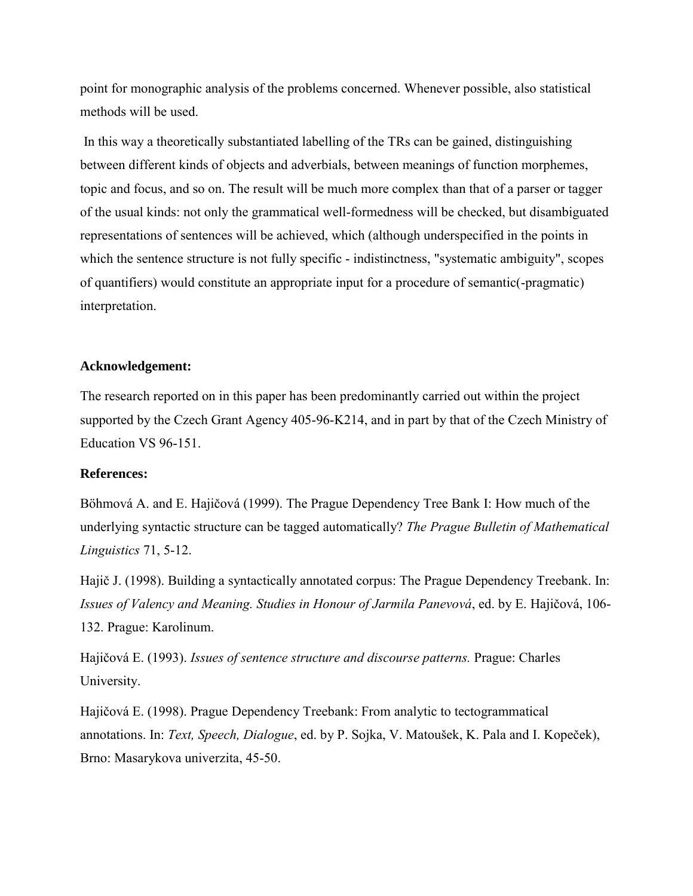point for monographic analysis of the problems concerned. Whenever possible, also statistical methods will be used.

 In this way a theoretically substantiated labelling of the TRs can be gained, distinguishing between different kinds of objects and adverbials, between meanings of function morphemes, topic and focus, and so on. The result will be much more complex than that of a parser or tagger of the usual kinds: not only the grammatical well-formedness will be checked, but disambiguated representations of sentences will be achieved, which (although underspecified in the points in which the sentence structure is not fully specific - indistinctness, "systematic ambiguity", scopes of quantifiers) would constitute an appropriate input for a procedure of semantic(-pragmatic) interpretation.

#### **Acknowledgement:**

The research reported on in this paper has been predominantly carried out within the project supported by the Czech Grant Agency 405-96-K214, and in part by that of the Czech Ministry of Education VS 96-151.

# **References:**

Böhmová A. and E. Hajičová (1999). The Prague Dependency Tree Bank I: How much of the underlying syntactic structure can be tagged automatically? *The Prague Bulletin of Mathematical Linguistics* 71, 5-12.

Hajič J. (1998). Building a syntactically annotated corpus: The Prague Dependency Treebank. In: *Issues of Valency and Meaning. Studies in Honour of Jarmila Panevová*, ed. by E. Hajičová, 106-132. Prague: Karolinum.

Hajičová E. (1993). *Issues of sentence structure and discourse patterns*. Prague: Charles University.

Hajičová E. (1998). Prague Dependency Treebank: From analytic to tectogrammatical annotations. In: *Text, Speech, Dialogue*, ed. by P. Sojka, V. Matouöek, K. Pala and I. Kopeček), Brno: Masarykova univerzita, 45-50.